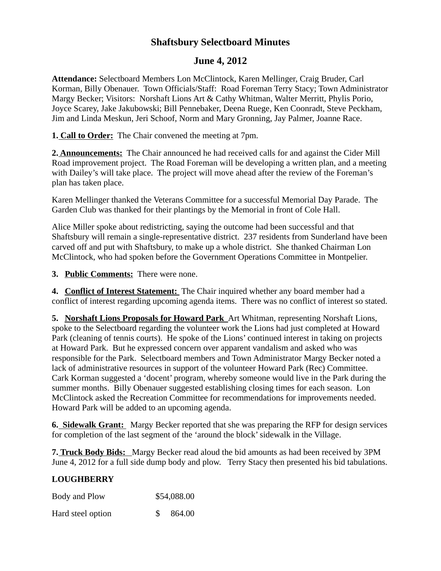# **Shaftsbury Selectboard Minutes**

# **June 4, 2012**

**Attendance:** Selectboard Members Lon McClintock, Karen Mellinger, Craig Bruder, Carl Korman, Billy Obenauer. Town Officials/Staff: Road Foreman Terry Stacy; Town Administrator Margy Becker; Visitors: Norshaft Lions Art & Cathy Whitman, Walter Merritt, Phylis Porio, Joyce Scarey, Jake Jakubowski; Bill Pennebaker, Deena Ruege, Ken Coonradt, Steve Peckham, Jim and Linda Meskun, Jeri Schoof, Norm and Mary Gronning, Jay Palmer, Joanne Race.

**1. Call to Order:** The Chair convened the meeting at 7pm.

**2. Announcements:** The Chair announced he had received calls for and against the Cider Mill Road improvement project. The Road Foreman will be developing a written plan, and a meeting with Dailey's will take place. The project will move ahead after the review of the Foreman's plan has taken place.

Karen Mellinger thanked the Veterans Committee for a successful Memorial Day Parade. The Garden Club was thanked for their plantings by the Memorial in front of Cole Hall.

Alice Miller spoke about redistricting, saying the outcome had been successful and that Shaftsbury will remain a single-representative district. 237 residents from Sunderland have been carved off and put with Shaftsbury, to make up a whole district. She thanked Chairman Lon McClintock, who had spoken before the Government Operations Committee in Montpelier.

**3. Public Comments:** There were none.

**4. Conflict of Interest Statement:** The Chair inquired whether any board member had a conflict of interest regarding upcoming agenda items. There was no conflict of interest so stated.

**5. Norshaft Lions Proposals for Howard Park** Art Whitman, representing Norshaft Lions, spoke to the Selectboard regarding the volunteer work the Lions had just completed at Howard Park (cleaning of tennis courts). He spoke of the Lions' continued interest in taking on projects at Howard Park. But he expressed concern over apparent vandalism and asked who was responsible for the Park. Selectboard members and Town Administrator Margy Becker noted a lack of administrative resources in support of the volunteer Howard Park (Rec) Committee. Cark Korman suggested a 'docent' program, whereby someone would live in the Park during the summer months. Billy Obenauer suggested establishing closing times for each season. Lon McClintock asked the Recreation Committee for recommendations for improvements needed. Howard Park will be added to an upcoming agenda.

**6. Sidewalk Grant:** Margy Becker reported that she was preparing the RFP for design services for completion of the last segment of the 'around the block' sidewalk in the Village.

**7. Truck Body Bids:** Margy Becker read aloud the bid amounts as had been received by 3PM June 4, 2012 for a full side dump body and plow. Terry Stacy then presented his bid tabulations.

### **LOUGHBERRY**

| Body and Plow     | \$54,088.00 |
|-------------------|-------------|
| Hard steel option | 864.00      |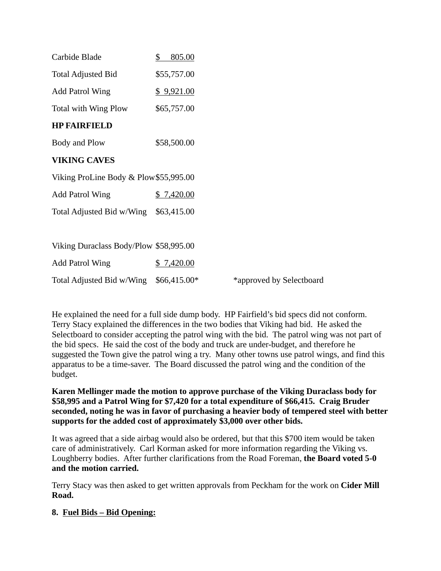| Carbide Blade                          | \$<br>805.00  |                          |
|----------------------------------------|---------------|--------------------------|
| <b>Total Adjusted Bid</b>              | \$55,757.00   |                          |
| <b>Add Patrol Wing</b>                 | \$9,921.00    |                          |
| Total with Wing Plow                   | \$65,757.00   |                          |
| <b>HP FAIRFIELD</b>                    |               |                          |
| Body and Plow                          | \$58,500.00   |                          |
| <b>VIKING CAVES</b>                    |               |                          |
| Viking ProLine Body & Plow \$55,995.00 |               |                          |
| <b>Add Patrol Wing</b>                 | \$7,420.00    |                          |
| Total Adjusted Bid w/Wing              | \$63,415.00   |                          |
|                                        |               |                          |
| Viking Duraclass Body/Plow \$58,995.00 |               |                          |
| <b>Add Patrol Wing</b>                 | 7,420.00      |                          |
| Total Adjusted Bid w/Wing              | $$66,415.00*$ | *approved by Selectboard |

He explained the need for a full side dump body. HP Fairfield's bid specs did not conform. Terry Stacy explained the differences in the two bodies that Viking had bid. He asked the Selectboard to consider accepting the patrol wing with the bid. The patrol wing was not part of the bid specs. He said the cost of the body and truck are under-budget, and therefore he suggested the Town give the patrol wing a try. Many other towns use patrol wings, and find this apparatus to be a time-saver. The Board discussed the patrol wing and the condition of the budget.

#### **Karen Mellinger made the motion to approve purchase of the Viking Duraclass body for \$58,995 and a Patrol Wing for \$7,420 for a total expenditure of \$66,415. Craig Bruder seconded, noting he was in favor of purchasing a heavier body of tempered steel with better supports for the added cost of approximately \$3,000 over other bids.**

It was agreed that a side airbag would also be ordered, but that this \$700 item would be taken care of administratively. Carl Korman asked for more information regarding the Viking vs. Loughberry bodies. After further clarifications from the Road Foreman, **the Board voted 5-0 and the motion carried.**

Terry Stacy was then asked to get written approvals from Peckham for the work on **Cider Mill Road.**

### **8. Fuel Bids – Bid Opening:**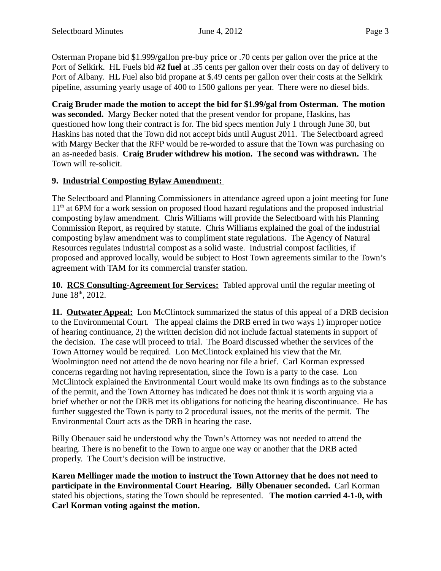Osterman Propane bid \$1.999/gallon pre-buy price or .70 cents per gallon over the price at the Port of Selkirk. HL Fuels bid **#2 fuel** at .35 cents per gallon over their costs on day of delivery to Port of Albany. HL Fuel also bid propane at \$.49 cents per gallon over their costs at the Selkirk pipeline, assuming yearly usage of 400 to 1500 gallons per year. There were no diesel bids.

**Craig Bruder made the motion to accept the bid for \$1.99/gal from Osterman. The motion was seconded.** Margy Becker noted that the present vendor for propane, Haskins, has questioned how long their contract is for. The bid specs mention July 1 through June 30, but Haskins has noted that the Town did not accept bids until August 2011. The Selectboard agreed with Margy Becker that the RFP would be re-worded to assure that the Town was purchasing on an as-needed basis. **Craig Bruder withdrew his motion. The second was withdrawn.** The Town will re-solicit.

#### **9. Industrial Composting Bylaw Amendment:**

The Selectboard and Planning Commissioners in attendance agreed upon a joint meeting for June 11<sup>th</sup> at 6PM for a work session on proposed flood hazard regulations and the proposed industrial composting bylaw amendment. Chris Williams will provide the Selectboard with his Planning Commission Report, as required by statute. Chris Williams explained the goal of the industrial composting bylaw amendment was to compliment state regulations. The Agency of Natural Resources regulates industrial compost as a solid waste. Industrial compost facilities, if proposed and approved locally, would be subject to Host Town agreements similar to the Town's agreement with TAM for its commercial transfer station.

**10. RCS Consulting-Agreement for Services:** Tabled approval until the regular meeting of June 18<sup>th</sup>, 2012.

**11. Outwater Appeal:** Lon McClintock summarized the status of this appeal of a DRB decision to the Environmental Court. The appeal claims the DRB erred in two ways 1) improper notice of hearing continuance, 2) the written decision did not include factual statements in support of the decision. The case will proceed to trial. The Board discussed whether the services of the Town Attorney would be required. Lon McClintock explained his view that the Mr. Woolmington need not attend the de novo hearing nor file a brief. Carl Korman expressed concerns regarding not having representation, since the Town is a party to the case. Lon McClintock explained the Environmental Court would make its own findings as to the substance of the permit, and the Town Attorney has indicated he does not think it is worth arguing via a brief whether or not the DRB met its obligations for noticing the hearing discontinuance. He has further suggested the Town is party to 2 procedural issues, not the merits of the permit. The Environmental Court acts as the DRB in hearing the case.

Billy Obenauer said he understood why the Town's Attorney was not needed to attend the hearing. There is no benefit to the Town to argue one way or another that the DRB acted properly. The Court's decision will be instructive.

**Karen Mellinger made the motion to instruct the Town Attorney that he does not need to participate in the Environmental Court Hearing. Billy Obenauer seconded.** Carl Korman stated his objections, stating the Town should be represented. **The motion carried 4-1-0, with Carl Korman voting against the motion.**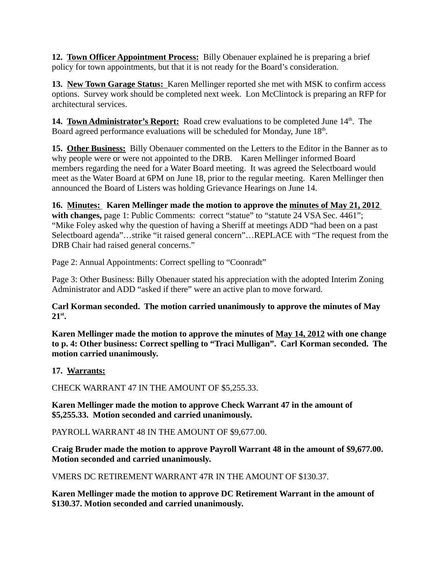**12. Town Officer Appointment Process:** Billy Obenauer explained he is preparing a brief policy for town appointments, but that it is not ready for the Board's consideration.

**13. New Town Garage Status:** Karen Mellinger reported she met with MSK to confirm access options. Survey work should be completed next week. Lon McClintock is preparing an RFP for architectural services.

**14. Town Administrator's Report:** Road crew evaluations to be completed June 14<sup>th</sup>. The Board agreed performance evaluations will be scheduled for Monday, June 18<sup>th</sup>.

**15. Other Business:** Billy Obenauer commented on the Letters to the Editor in the Banner as to why people were or were not appointed to the DRB. Karen Mellinger informed Board members regarding the need for a Water Board meeting. It was agreed the Selectboard would meet as the Water Board at 6PM on June 18, prior to the regular meeting. Karen Mellinger then announced the Board of Listers was holding Grievance Hearings on June 14.

**16. Minutes: Karen Mellinger made the motion to approve the minutes of May 21, 2012** with changes, page 1: Public Comments: correct "statue" to "statute 24 VSA Sec. 4461"; "Mike Foley asked why the question of having a Sheriff at meetings ADD "had been on a past Selectboard agenda"…strike "it raised general concern"…REPLACE with "The request from the DRB Chair had raised general concerns."

Page 2: Annual Appointments: Correct spelling to "Coonradt"

Page 3: Other Business: Billy Obenauer stated his appreciation with the adopted Interim Zoning Administrator and ADD "asked if there" were an active plan to move forward.

**Carl Korman seconded. The motion carried unanimously to approve the minutes of May 21st.**

**Karen Mellinger made the motion to approve the minutes of May 14, 2012 with one change to p. 4: Other business: Correct spelling to "Traci Mulligan". Carl Korman seconded. The motion carried unanimously.**

**17. Warrants:**

CHECK WARRANT 47 IN THE AMOUNT OF \$5,255.33.

**Karen Mellinger made the motion to approve Check Warrant 47 in the amount of \$5,255.33. Motion seconded and carried unanimously.**

PAYROLL WARRANT 48 IN THE AMOUNT OF \$9,677.00.

**Craig Bruder made the motion to approve Payroll Warrant 48 in the amount of \$9,677.00. Motion seconded and carried unanimously.**

VMERS DC RETIREMENT WARRANT 47R IN THE AMOUNT OF \$130.37.

**Karen Mellinger made the motion to approve DC Retirement Warrant in the amount of \$130.37. Motion seconded and carried unanimously.**